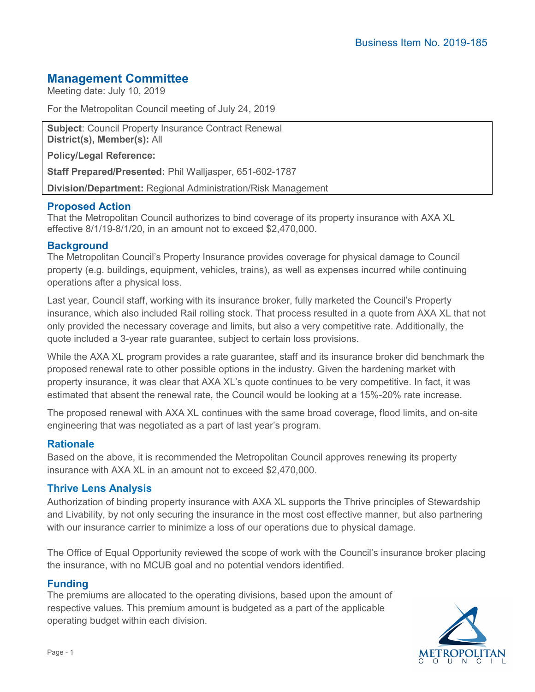# **Management Committee**

Meeting date: July 10, 2019

For the Metropolitan Council meeting of July 24, 2019

**Subject**: Council Property Insurance Contract Renewal **District(s), Member(s):** All

**Policy/Legal Reference:**

**Staff Prepared/Presented:** Phil Walljasper, 651-602-1787

**Division/Department:** Regional Administration/Risk Management

## **Proposed Action**

That the Metropolitan Council authorizes to bind coverage of its property insurance with AXA XL effective 8/1/19-8/1/20, in an amount not to exceed \$2,470,000.

#### **Background**

The Metropolitan Council's Property Insurance provides coverage for physical damage to Council property (e.g. buildings, equipment, vehicles, trains), as well as expenses incurred while continuing operations after a physical loss.

Last year, Council staff, working with its insurance broker, fully marketed the Council's Property insurance, which also included Rail rolling stock. That process resulted in a quote from AXA XL that not only provided the necessary coverage and limits, but also a very competitive rate. Additionally, the quote included a 3-year rate guarantee, subject to certain loss provisions.

While the AXA XL program provides a rate guarantee, staff and its insurance broker did benchmark the proposed renewal rate to other possible options in the industry. Given the hardening market with property insurance, it was clear that AXA XL's quote continues to be very competitive. In fact, it was estimated that absent the renewal rate, the Council would be looking at a 15%-20% rate increase.

The proposed renewal with AXA XL continues with the same broad coverage, flood limits, and on-site engineering that was negotiated as a part of last year's program.

#### **Rationale**

Based on the above, it is recommended the Metropolitan Council approves renewing its property insurance with AXA XL in an amount not to exceed \$2,470,000.

#### **Thrive Lens Analysis**

Authorization of binding property insurance with AXA XL supports the Thrive principles of Stewardship and Livability, by not only securing the insurance in the most cost effective manner, but also partnering with our insurance carrier to minimize a loss of our operations due to physical damage.

The Office of Equal Opportunity reviewed the scope of work with the Council's insurance broker placing the insurance, with no MCUB goal and no potential vendors identified.

#### **Funding**

The premiums are allocated to the operating divisions, based upon the amount of respective values. This premium amount is budgeted as a part of the applicable operating budget within each division.